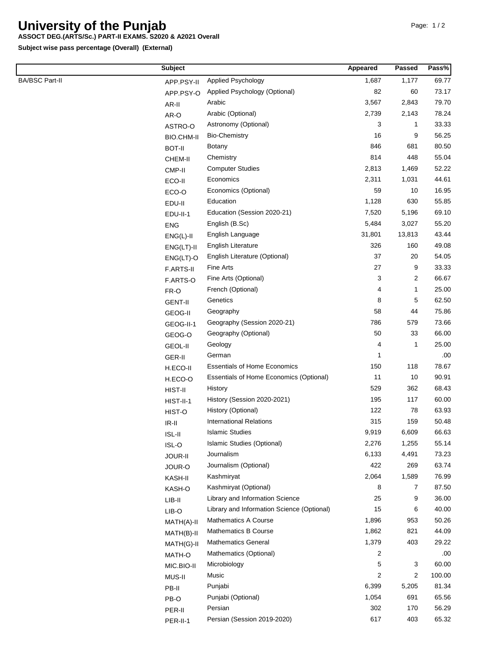## **University of the Punjab**

## **ASSOCT DEG.(ARTS/Sc.) PART-II EXAMS. S2020 & A2021 Overall**

**Subject wise pass percentage (Overall) (External)**

| <b>BA/BSC Part-II</b><br>1,177<br>Applied Psychology<br>1,687<br>APP.PSY-II<br>82<br>Applied Psychology (Optional)<br>60<br>APP.PSY-O<br>3,567<br>Arabic<br>2,843<br>AR-II<br>2,739<br>Arabic (Optional)<br>2,143<br>AR-O<br>3<br>Astronomy (Optional)<br>1<br>ASTRO-O<br><b>Bio-Chemistry</b><br>16<br>9<br><b>BIO.CHM-II</b><br>846<br>681<br><b>Botany</b><br><b>BOT-II</b><br>814<br>448<br>Chemistry<br>CHEM-II<br>2,813<br><b>Computer Studies</b><br>1,469<br>CMP-II<br>Economics<br>2,311<br>1,031<br>ECO-II<br>Economics (Optional)<br>59<br>10<br>ECO-O<br>1,128<br>Education<br>630<br>EDU-II<br>7,520<br>Education (Session 2020-21)<br>5,196<br>EDU-II-1<br>English (B.Sc)<br>5,484<br>3,027<br><b>ENG</b><br>English Language<br>31,801<br>13,813<br>$ENG(L)-II$<br>326<br>English Literature<br>160<br>$ENG(LT)-II$<br>37<br>20<br>English Literature (Optional)<br>$ENG(LT)-O$<br>27<br>9<br>Fine Arts<br>F.ARTS-II<br>3<br>$\overline{2}$<br>Fine Arts (Optional)<br>F.ARTS-O | Pass%  |
|------------------------------------------------------------------------------------------------------------------------------------------------------------------------------------------------------------------------------------------------------------------------------------------------------------------------------------------------------------------------------------------------------------------------------------------------------------------------------------------------------------------------------------------------------------------------------------------------------------------------------------------------------------------------------------------------------------------------------------------------------------------------------------------------------------------------------------------------------------------------------------------------------------------------------------------------------------------------------------------------|--------|
|                                                                                                                                                                                                                                                                                                                                                                                                                                                                                                                                                                                                                                                                                                                                                                                                                                                                                                                                                                                                | 69.77  |
|                                                                                                                                                                                                                                                                                                                                                                                                                                                                                                                                                                                                                                                                                                                                                                                                                                                                                                                                                                                                | 73.17  |
|                                                                                                                                                                                                                                                                                                                                                                                                                                                                                                                                                                                                                                                                                                                                                                                                                                                                                                                                                                                                | 79.70  |
|                                                                                                                                                                                                                                                                                                                                                                                                                                                                                                                                                                                                                                                                                                                                                                                                                                                                                                                                                                                                | 78.24  |
|                                                                                                                                                                                                                                                                                                                                                                                                                                                                                                                                                                                                                                                                                                                                                                                                                                                                                                                                                                                                | 33.33  |
|                                                                                                                                                                                                                                                                                                                                                                                                                                                                                                                                                                                                                                                                                                                                                                                                                                                                                                                                                                                                | 56.25  |
|                                                                                                                                                                                                                                                                                                                                                                                                                                                                                                                                                                                                                                                                                                                                                                                                                                                                                                                                                                                                | 80.50  |
|                                                                                                                                                                                                                                                                                                                                                                                                                                                                                                                                                                                                                                                                                                                                                                                                                                                                                                                                                                                                | 55.04  |
|                                                                                                                                                                                                                                                                                                                                                                                                                                                                                                                                                                                                                                                                                                                                                                                                                                                                                                                                                                                                | 52.22  |
|                                                                                                                                                                                                                                                                                                                                                                                                                                                                                                                                                                                                                                                                                                                                                                                                                                                                                                                                                                                                | 44.61  |
|                                                                                                                                                                                                                                                                                                                                                                                                                                                                                                                                                                                                                                                                                                                                                                                                                                                                                                                                                                                                | 16.95  |
|                                                                                                                                                                                                                                                                                                                                                                                                                                                                                                                                                                                                                                                                                                                                                                                                                                                                                                                                                                                                | 55.85  |
|                                                                                                                                                                                                                                                                                                                                                                                                                                                                                                                                                                                                                                                                                                                                                                                                                                                                                                                                                                                                | 69.10  |
|                                                                                                                                                                                                                                                                                                                                                                                                                                                                                                                                                                                                                                                                                                                                                                                                                                                                                                                                                                                                | 55.20  |
|                                                                                                                                                                                                                                                                                                                                                                                                                                                                                                                                                                                                                                                                                                                                                                                                                                                                                                                                                                                                | 43.44  |
|                                                                                                                                                                                                                                                                                                                                                                                                                                                                                                                                                                                                                                                                                                                                                                                                                                                                                                                                                                                                | 49.08  |
|                                                                                                                                                                                                                                                                                                                                                                                                                                                                                                                                                                                                                                                                                                                                                                                                                                                                                                                                                                                                | 54.05  |
|                                                                                                                                                                                                                                                                                                                                                                                                                                                                                                                                                                                                                                                                                                                                                                                                                                                                                                                                                                                                | 33.33  |
|                                                                                                                                                                                                                                                                                                                                                                                                                                                                                                                                                                                                                                                                                                                                                                                                                                                                                                                                                                                                | 66.67  |
| 4<br>French (Optional)<br>1<br>FR-O                                                                                                                                                                                                                                                                                                                                                                                                                                                                                                                                                                                                                                                                                                                                                                                                                                                                                                                                                            | 25.00  |
| Genetics<br>8<br>5<br><b>GENT-II</b>                                                                                                                                                                                                                                                                                                                                                                                                                                                                                                                                                                                                                                                                                                                                                                                                                                                                                                                                                           | 62.50  |
| 58<br>44<br>Geography<br>GEOG-II                                                                                                                                                                                                                                                                                                                                                                                                                                                                                                                                                                                                                                                                                                                                                                                                                                                                                                                                                               | 75.86  |
| 786<br>579<br>Geography (Session 2020-21)<br>GEOG-II-1                                                                                                                                                                                                                                                                                                                                                                                                                                                                                                                                                                                                                                                                                                                                                                                                                                                                                                                                         | 73.66  |
| 50<br>33<br>Geography (Optional)<br>GEOG-O                                                                                                                                                                                                                                                                                                                                                                                                                                                                                                                                                                                                                                                                                                                                                                                                                                                                                                                                                     | 66.00  |
| 4<br>1<br>Geology<br><b>GEOL-II</b>                                                                                                                                                                                                                                                                                                                                                                                                                                                                                                                                                                                                                                                                                                                                                                                                                                                                                                                                                            | 25.00  |
| German<br>1<br>GER-II                                                                                                                                                                                                                                                                                                                                                                                                                                                                                                                                                                                                                                                                                                                                                                                                                                                                                                                                                                          | .00    |
| <b>Essentials of Home Economics</b><br>150<br>118<br>H.ECO-II                                                                                                                                                                                                                                                                                                                                                                                                                                                                                                                                                                                                                                                                                                                                                                                                                                                                                                                                  | 78.67  |
| 11<br>Essentials of Home Economics (Optional)<br>10<br>H.ECO-O                                                                                                                                                                                                                                                                                                                                                                                                                                                                                                                                                                                                                                                                                                                                                                                                                                                                                                                                 | 90.91  |
| 529<br>362<br>History<br>HIST-II                                                                                                                                                                                                                                                                                                                                                                                                                                                                                                                                                                                                                                                                                                                                                                                                                                                                                                                                                               | 68.43  |
| 195<br>117<br>History (Session 2020-2021)<br>HIST-II-1                                                                                                                                                                                                                                                                                                                                                                                                                                                                                                                                                                                                                                                                                                                                                                                                                                                                                                                                         | 60.00  |
| History (Optional)<br>122<br>78<br>HIST-O                                                                                                                                                                                                                                                                                                                                                                                                                                                                                                                                                                                                                                                                                                                                                                                                                                                                                                                                                      | 63.93  |
| <b>International Relations</b><br>315<br>159<br>$IR-II$                                                                                                                                                                                                                                                                                                                                                                                                                                                                                                                                                                                                                                                                                                                                                                                                                                                                                                                                        | 50.48  |
| Islamic Studies<br>9,919<br>6,609<br>$ISL-II$                                                                                                                                                                                                                                                                                                                                                                                                                                                                                                                                                                                                                                                                                                                                                                                                                                                                                                                                                  | 66.63  |
| Islamic Studies (Optional)<br>2,276<br>1,255<br>ISL-O                                                                                                                                                                                                                                                                                                                                                                                                                                                                                                                                                                                                                                                                                                                                                                                                                                                                                                                                          | 55.14  |
| Journalism<br>6,133<br>4,491<br>JOUR-II                                                                                                                                                                                                                                                                                                                                                                                                                                                                                                                                                                                                                                                                                                                                                                                                                                                                                                                                                        | 73.23  |
| 422<br>Journalism (Optional)<br>269<br>JOUR-O                                                                                                                                                                                                                                                                                                                                                                                                                                                                                                                                                                                                                                                                                                                                                                                                                                                                                                                                                  | 63.74  |
| 2,064<br>1,589<br>Kashmiryat<br>KASH-II                                                                                                                                                                                                                                                                                                                                                                                                                                                                                                                                                                                                                                                                                                                                                                                                                                                                                                                                                        | 76.99  |
| Kashmiryat (Optional)<br>8<br>7<br>KASH-O                                                                                                                                                                                                                                                                                                                                                                                                                                                                                                                                                                                                                                                                                                                                                                                                                                                                                                                                                      | 87.50  |
| Library and Information Science<br>25<br>9<br>$LIB-II$                                                                                                                                                                                                                                                                                                                                                                                                                                                                                                                                                                                                                                                                                                                                                                                                                                                                                                                                         | 36.00  |
| 15<br>6<br>Library and Information Science (Optional)<br>LIB-O                                                                                                                                                                                                                                                                                                                                                                                                                                                                                                                                                                                                                                                                                                                                                                                                                                                                                                                                 | 40.00  |
| 1,896<br><b>Mathematics A Course</b><br>953<br>MATH(A)-II                                                                                                                                                                                                                                                                                                                                                                                                                                                                                                                                                                                                                                                                                                                                                                                                                                                                                                                                      | 50.26  |
| Mathematics B Course<br>1,862<br>821<br>MATH(B)-II                                                                                                                                                                                                                                                                                                                                                                                                                                                                                                                                                                                                                                                                                                                                                                                                                                                                                                                                             | 44.09  |
| <b>Mathematics General</b><br>1,379<br>403<br>MATH(G)-II                                                                                                                                                                                                                                                                                                                                                                                                                                                                                                                                                                                                                                                                                                                                                                                                                                                                                                                                       | 29.22  |
| 2<br>Mathematics (Optional)<br>MATH-O                                                                                                                                                                                                                                                                                                                                                                                                                                                                                                                                                                                                                                                                                                                                                                                                                                                                                                                                                          | .00    |
| 5<br>3<br>Microbiology<br>MIC.BIO-II                                                                                                                                                                                                                                                                                                                                                                                                                                                                                                                                                                                                                                                                                                                                                                                                                                                                                                                                                           | 60.00  |
| Music<br>2<br>2<br>MUS-II                                                                                                                                                                                                                                                                                                                                                                                                                                                                                                                                                                                                                                                                                                                                                                                                                                                                                                                                                                      | 100.00 |
| Punjabi<br>6,399<br>5,205<br>PB-II                                                                                                                                                                                                                                                                                                                                                                                                                                                                                                                                                                                                                                                                                                                                                                                                                                                                                                                                                             | 81.34  |
| Punjabi (Optional)<br>1,054<br>691<br>PB-O                                                                                                                                                                                                                                                                                                                                                                                                                                                                                                                                                                                                                                                                                                                                                                                                                                                                                                                                                     | 65.56  |
| 302<br>170<br>Persian<br>PER-II                                                                                                                                                                                                                                                                                                                                                                                                                                                                                                                                                                                                                                                                                                                                                                                                                                                                                                                                                                | 56.29  |
| Persian (Session 2019-2020)<br>617<br>403<br>PER-II-1                                                                                                                                                                                                                                                                                                                                                                                                                                                                                                                                                                                                                                                                                                                                                                                                                                                                                                                                          | 65.32  |